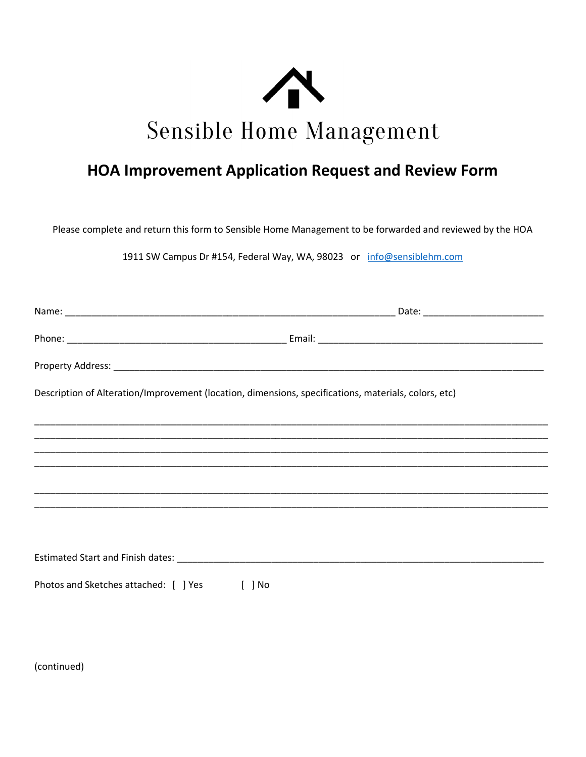

## **HOA Improvement Application Request and Review Form**

Please complete and return this form to Sensible Home Management to be forwarded and reviewed by the HOA

1911 SW Campus Dr #154, Federal Way, WA, 98023 or info@sensiblehm.com

| Description of Alteration/Improvement (location, dimensions, specifications, materials, colors, etc) |  |
|------------------------------------------------------------------------------------------------------|--|
|                                                                                                      |  |
|                                                                                                      |  |
|                                                                                                      |  |
|                                                                                                      |  |
|                                                                                                      |  |
|                                                                                                      |  |
|                                                                                                      |  |
| Photos and Sketches attached: [ ] Yes<br>$[$ $]$ No                                                  |  |

(continued)